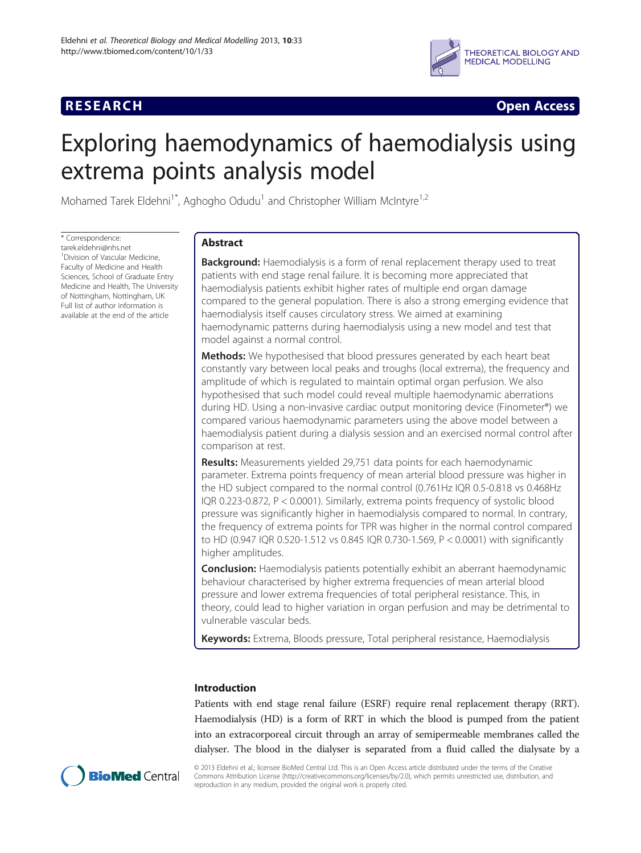# **RESEARCH CHINESE ARCH CHINESE ARCH CHINESE ARCH <b>CHINESE ARCH**



# Exploring haemodynamics of haemodialysis using extrema points analysis model

Mohamed Tarek Eldehni<sup>1\*</sup>, Aghogho Odudu<sup>1</sup> and Christopher William McIntyre<sup>1,2</sup>

\* Correspondence:

tarek.eldehni@nhs.net <sup>1</sup> Division of Vascular Medicine, Faculty of Medicine and Health Sciences, School of Graduate Entry Medicine and Health, The University of Nottingham, Nottingham, UK Full list of author information is available at the end of the article

# Abstract

**Background:** Haemodialysis is a form of renal replacement therapy used to treat patients with end stage renal failure. It is becoming more appreciated that haemodialysis patients exhibit higher rates of multiple end organ damage compared to the general population. There is also a strong emerging evidence that haemodialysis itself causes circulatory stress. We aimed at examining haemodynamic patterns during haemodialysis using a new model and test that model against a normal control.

Methods: We hypothesised that blood pressures generated by each heart beat constantly vary between local peaks and troughs (local extrema), the frequency and amplitude of which is regulated to maintain optimal organ perfusion. We also hypothesised that such model could reveal multiple haemodynamic aberrations during HD. Using a non-invasive cardiac output monitoring device (Finometer®) we compared various haemodynamic parameters using the above model between a haemodialysis patient during a dialysis session and an exercised normal control after comparison at rest.

**Results:** Measurements yielded 29,751 data points for each haemodynamic parameter. Extrema points frequency of mean arterial blood pressure was higher in the HD subject compared to the normal control (0.761Hz IQR 0.5-0.818 vs 0.468Hz IQR 0.223-0.872, P < 0.0001). Similarly, extrema points frequency of systolic blood pressure was significantly higher in haemodialysis compared to normal. In contrary, the frequency of extrema points for TPR was higher in the normal control compared to HD (0.947 IQR 0.520-1.512 vs 0.845 IQR 0.730-1.569, P < 0.0001) with significantly higher amplitudes.

**Conclusion:** Haemodialysis patients potentially exhibit an aberrant haemodynamic behaviour characterised by higher extrema frequencies of mean arterial blood pressure and lower extrema frequencies of total peripheral resistance. This, in theory, could lead to higher variation in organ perfusion and may be detrimental to vulnerable vascular beds.

Keywords: Extrema, Bloods pressure, Total peripheral resistance, Haemodialysis

# Introduction

Patients with end stage renal failure (ESRF) require renal replacement therapy (RRT). Haemodialysis (HD) is a form of RRT in which the blood is pumped from the patient into an extracorporeal circuit through an array of semipermeable membranes called the dialyser. The blood in the dialyser is separated from a fluid called the dialysate by a



© 2013 Eldehni et al.; licensee BioMed Central Ltd. This is an Open Access article distributed under the terms of the Creative Commons Attribution License [\(http://creativecommons.org/licenses/by/2.0\)](http://creativecommons.org/licenses/by/2.0), which permits unrestricted use, distribution, and reproduction in any medium, provided the original work is properly cited.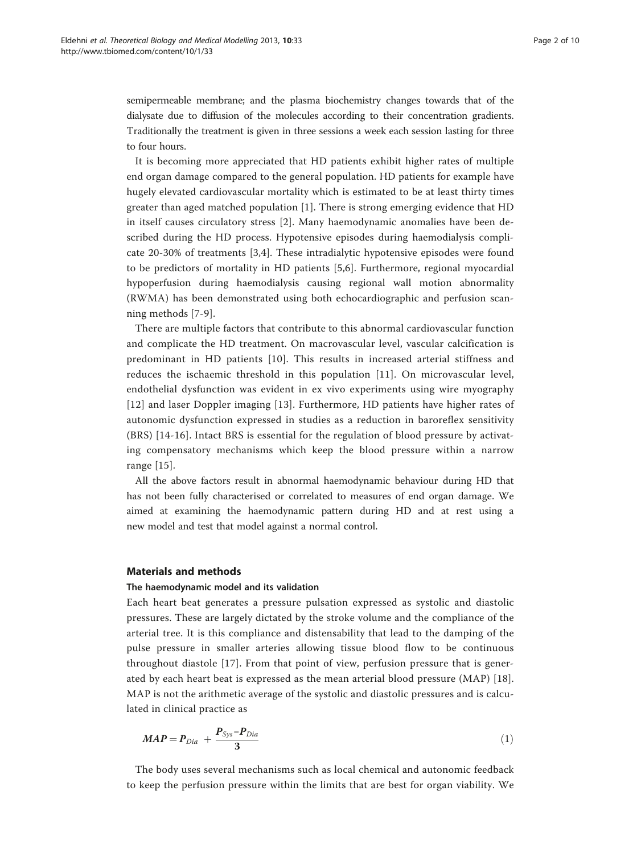semipermeable membrane; and the plasma biochemistry changes towards that of the dialysate due to diffusion of the molecules according to their concentration gradients. Traditionally the treatment is given in three sessions a week each session lasting for three to four hours.

It is becoming more appreciated that HD patients exhibit higher rates of multiple end organ damage compared to the general population. HD patients for example have hugely elevated cardiovascular mortality which is estimated to be at least thirty times greater than aged matched population [[1](#page-8-0)]. There is strong emerging evidence that HD in itself causes circulatory stress [\[2](#page-8-0)]. Many haemodynamic anomalies have been described during the HD process. Hypotensive episodes during haemodialysis complicate 20-30% of treatments [\[3](#page-8-0),[4\]](#page-8-0). These intradialytic hypotensive episodes were found to be predictors of mortality in HD patients [\[5,6\]](#page-8-0). Furthermore, regional myocardial hypoperfusion during haemodialysis causing regional wall motion abnormality (RWMA) has been demonstrated using both echocardiographic and perfusion scanning methods [[7-9\]](#page-8-0).

There are multiple factors that contribute to this abnormal cardiovascular function and complicate the HD treatment. On macrovascular level, vascular calcification is predominant in HD patients [\[10\]](#page-8-0). This results in increased arterial stiffness and reduces the ischaemic threshold in this population [[11\]](#page-8-0). On microvascular level, endothelial dysfunction was evident in ex vivo experiments using wire myography [[12](#page-8-0)] and laser Doppler imaging [\[13\]](#page-8-0). Furthermore, HD patients have higher rates of autonomic dysfunction expressed in studies as a reduction in baroreflex sensitivity (BRS) [[14-16](#page-8-0)]. Intact BRS is essential for the regulation of blood pressure by activating compensatory mechanisms which keep the blood pressure within a narrow range [\[15](#page-8-0)].

All the above factors result in abnormal haemodynamic behaviour during HD that has not been fully characterised or correlated to measures of end organ damage. We aimed at examining the haemodynamic pattern during HD and at rest using a new model and test that model against a normal control.

#### Materials and methods

#### The haemodynamic model and its validation

Each heart beat generates a pressure pulsation expressed as systolic and diastolic pressures. These are largely dictated by the stroke volume and the compliance of the arterial tree. It is this compliance and distensability that lead to the damping of the pulse pressure in smaller arteries allowing tissue blood flow to be continuous throughout diastole [[17](#page-8-0)]. From that point of view, perfusion pressure that is generated by each heart beat is expressed as the mean arterial blood pressure (MAP) [[18](#page-8-0)]. MAP is not the arithmetic average of the systolic and diastolic pressures and is calculated in clinical practice as

$$
MAP = P_{Dia} + \frac{P_{Sys} - P_{Dia}}{3} \tag{1}
$$

The body uses several mechanisms such as local chemical and autonomic feedback to keep the perfusion pressure within the limits that are best for organ viability. We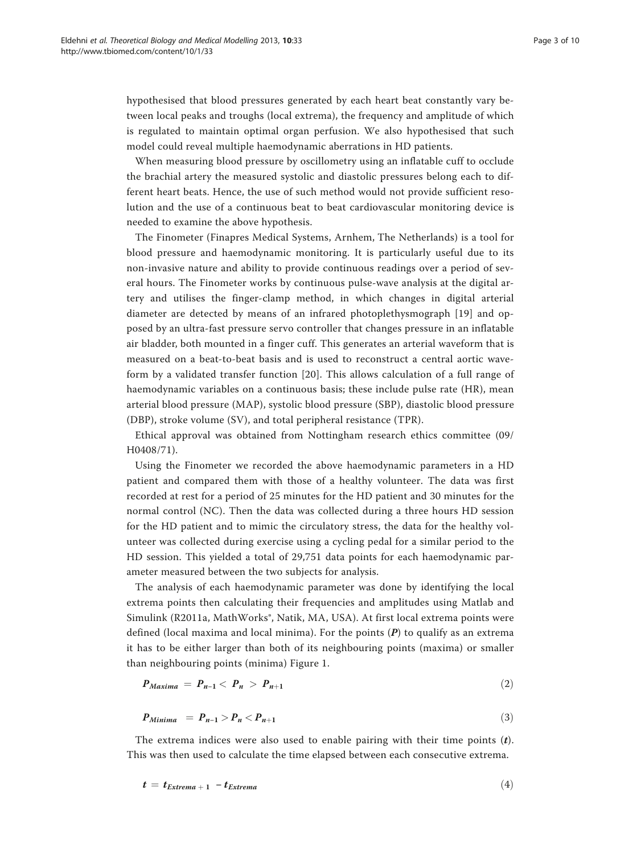hypothesised that blood pressures generated by each heart beat constantly vary between local peaks and troughs (local extrema), the frequency and amplitude of which is regulated to maintain optimal organ perfusion. We also hypothesised that such model could reveal multiple haemodynamic aberrations in HD patients.

When measuring blood pressure by oscillometry using an inflatable cuff to occlude the brachial artery the measured systolic and diastolic pressures belong each to different heart beats. Hence, the use of such method would not provide sufficient resolution and the use of a continuous beat to beat cardiovascular monitoring device is needed to examine the above hypothesis.

The Finometer (Finapres Medical Systems, Arnhem, The Netherlands) is a tool for blood pressure and haemodynamic monitoring. It is particularly useful due to its non-invasive nature and ability to provide continuous readings over a period of several hours. The Finometer works by continuous pulse-wave analysis at the digital artery and utilises the finger-clamp method, in which changes in digital arterial diameter are detected by means of an infrared photoplethysmograph [[19](#page-8-0)] and opposed by an ultra-fast pressure servo controller that changes pressure in an inflatable air bladder, both mounted in a finger cuff. This generates an arterial waveform that is measured on a beat-to-beat basis and is used to reconstruct a central aortic waveform by a validated transfer function [[20\]](#page-8-0). This allows calculation of a full range of haemodynamic variables on a continuous basis; these include pulse rate (HR), mean arterial blood pressure (MAP), systolic blood pressure (SBP), diastolic blood pressure (DBP), stroke volume (SV), and total peripheral resistance (TPR).

Ethical approval was obtained from Nottingham research ethics committee (09/ H0408/71).

Using the Finometer we recorded the above haemodynamic parameters in a HD patient and compared them with those of a healthy volunteer. The data was first recorded at rest for a period of 25 minutes for the HD patient and 30 minutes for the normal control (NC). Then the data was collected during a three hours HD session for the HD patient and to mimic the circulatory stress, the data for the healthy volunteer was collected during exercise using a cycling pedal for a similar period to the HD session. This yielded a total of 29,751 data points for each haemodynamic parameter measured between the two subjects for analysis.

The analysis of each haemodynamic parameter was done by identifying the local extrema points then calculating their frequencies and amplitudes using Matlab and Simulink (R2011a, MathWorks®, Natik, MA, USA). At first local extrema points were defined (local maxima and local minima). For the points  $(P)$  to qualify as an extrema it has to be either larger than both of its neighbouring points (maxima) or smaller than neighbouring points (minima) Figure [1](#page-3-0).

$$
P_{Maxima} = P_{n-1} < P_n > P_{n+1} \tag{2}
$$

$$
P_{Minima} = P_{n-1} > P_n < P_{n+1}
$$
\n
$$
\tag{3}
$$

The extrema indices were also used to enable pairing with their time points  $(t)$ . This was then used to calculate the time elapsed between each consecutive extrema.

$$
t = t_{Extrema + 1} - t_{Extrema} \tag{4}
$$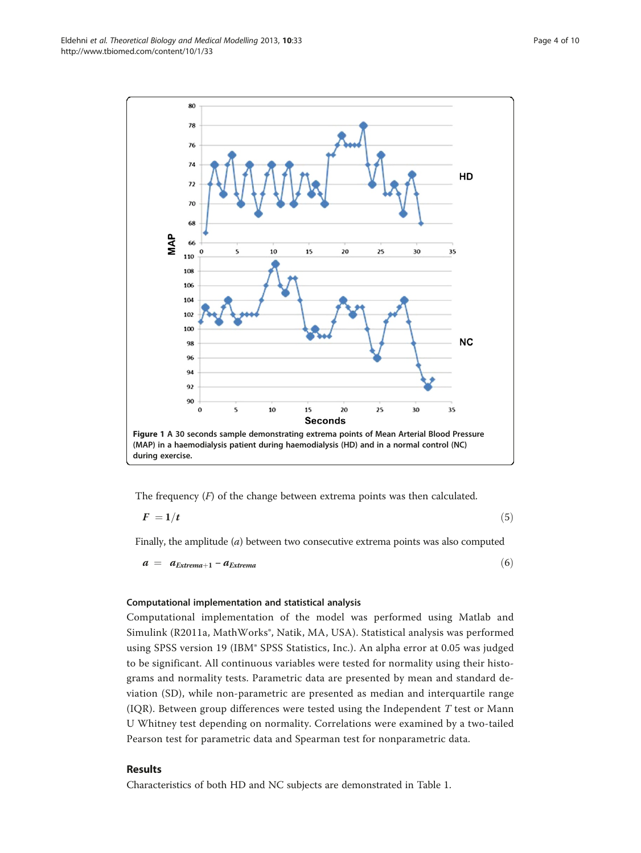<span id="page-3-0"></span>

The frequency  $(F)$  of the change between extrema points was then calculated.

$$
F = 1/t \tag{5}
$$

Finally, the amplitude  $(a)$  between two consecutive extrema points was also computed

 $a = a_{Extrema+1} - a_{Extrema}$  (6)

# Computational implementation and statistical analysis

Computational implementation of the model was performed using Matlab and Simulink (R2011a, MathWorks®, Natik, MA, USA). Statistical analysis was performed using SPSS version 19 (IBM® SPSS Statistics, Inc.). An alpha error at 0.05 was judged to be significant. All continuous variables were tested for normality using their histograms and normality tests. Parametric data are presented by mean and standard deviation (SD), while non-parametric are presented as median and interquartile range (IQR). Between group differences were tested using the Independent  $T$  test or Mann U Whitney test depending on normality. Correlations were examined by a two-tailed Pearson test for parametric data and Spearman test for nonparametric data.

# Results

Characteristics of both HD and NC subjects are demonstrated in Table [1](#page-4-0).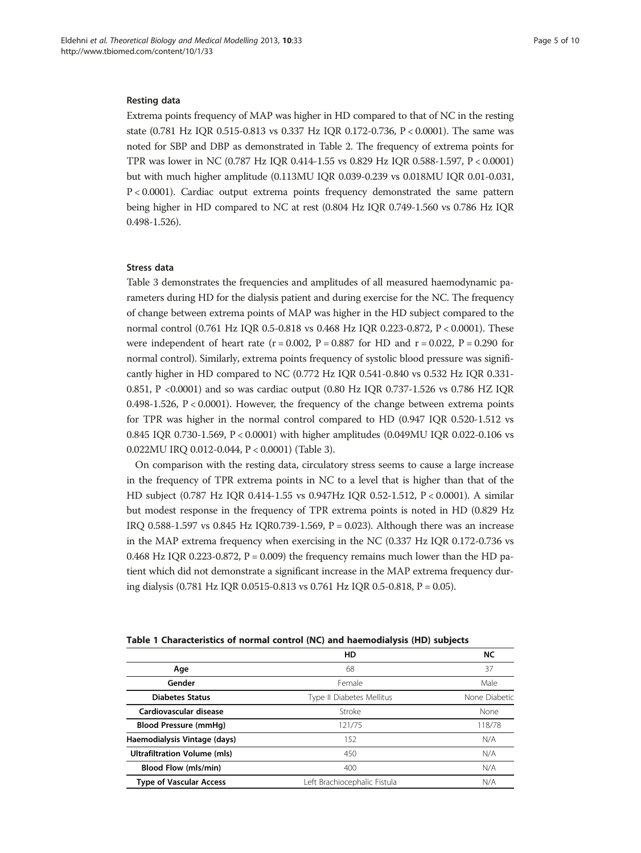#### <span id="page-4-0"></span>Resting data

Extrema points frequency of MAP was higher in HD compared to that of NC in the resting state (0.781 Hz IQR 0.515-0.813 vs 0.337 Hz IQR 0.172-0.736, P < 0.0001). The same was noted for SBP and DBP as demonstrated in Table [2.](#page-5-0) The frequency of extrema points for TPR was lower in NC (0.787 Hz IQR 0.414-1.55 vs 0.829 Hz IQR 0.588-1.597, P < 0.0001) but with much higher amplitude (0.113MU IQR 0.039-0.239 vs 0.018MU IQR 0.01-0.031, P < 0.0001). Cardiac output extrema points frequency demonstrated the same pattern being higher in HD compared to NC at rest (0.804 Hz IQR 0.749-1.560 vs 0.786 Hz IQR 0.498-1.526).

### Stress data

Table [3](#page-6-0) demonstrates the frequencies and amplitudes of all measured haemodynamic parameters during HD for the dialysis patient and during exercise for the NC. The frequency of change between extrema points of MAP was higher in the HD subject compared to the normal control (0.761 Hz IQR 0.5-0.818 vs 0.468 Hz IQR 0.223-0.872, P < 0.0001). These were independent of heart rate ( $r = 0.002$ ,  $P = 0.887$  for HD and  $r = 0.022$ ,  $P = 0.290$  for normal control). Similarly, extrema points frequency of systolic blood pressure was significantly higher in HD compared to NC (0.772 Hz IQR 0.541-0.840 vs 0.532 Hz IQR 0.331- 0.851, P <0.0001) and so was cardiac output (0.80 Hz IQR 0.737-1.526 vs 0.786 HZ IQR 0.498-1.526,  $P < 0.0001$ ). However, the frequency of the change between extrema points for TPR was higher in the normal control compared to HD (0.947 IQR 0.520-1.512 vs 0.845 IQR 0.730-1.569, P < 0.0001) with higher amplitudes (0.049MU IQR 0.022-0.106 vs 0.022MU IRQ 0.012-0.044, P < 0.0001) (Table [3](#page-6-0)).

On comparison with the resting data, circulatory stress seems to cause a large increase in the frequency of TPR extrema points in NC to a level that is higher than that of the HD subject (0.787 Hz IQR 0.414-1.55 vs 0.947Hz IQR 0.52-1.512, P < 0.0001). A similar but modest response in the frequency of TPR extrema points is noted in HD (0.829 Hz IRQ 0.588-1.597 vs 0.845 Hz IQR0.739-1.569, P = 0.023). Although there was an increase in the MAP extrema frequency when exercising in the NC (0.337 Hz IQR 0.172-0.736 vs 0.468 Hz IQR 0.223-0.872,  $P = 0.009$ ) the frequency remains much lower than the HD patient which did not demonstrate a significant increase in the MAP extrema frequency during dialysis (0.781 Hz IQR 0.0515-0.813 vs 0.761 Hz IQR 0.5-0.818, P = 0.05).

#### Table 1 Characteristics of normal control (NC) and haemodialysis (HD) subjects

|                                     | HD                           | <b>NC</b>     |
|-------------------------------------|------------------------------|---------------|
| Age                                 | 68                           | 37            |
| Gender                              | Female                       | Male          |
| <b>Diabetes Status</b>              | Type II Diabetes Mellitus    | None Diabetic |
| Cardiovascular disease              | Stroke                       | None          |
| <b>Blood Pressure (mmHg)</b>        | 121/75                       | 118/78        |
| Haemodialysis Vintage (days)        | 152                          | N/A           |
| <b>Ultrafiltration Volume (mls)</b> | 450                          | N/A           |
| <b>Blood Flow (mls/min)</b>         | 400                          | N/A           |
| <b>Type of Vascular Access</b>      | Left Brachiocephalic Fistula | N/A           |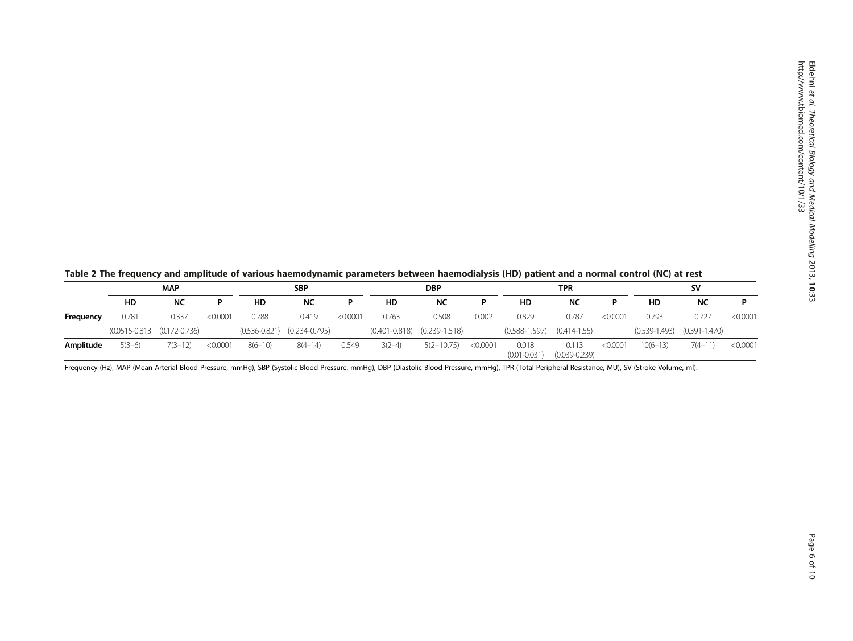<span id="page-5-0"></span>

|  |  | Table 2 The frequency and amplitude of various haemodynamic parameters between haemodialysis (HD) patient and a normal control (NC) at rest |
|--|--|---------------------------------------------------------------------------------------------------------------------------------------------|
|--|--|---------------------------------------------------------------------------------------------------------------------------------------------|

|           | <b>MAP</b> |                                      |          | <b>SBP</b>  |                                     |          | <b>DBP</b> |                                     |          | <b>TPR</b>                |                            |          | <b>SV</b>    |                                 |          |
|-----------|------------|--------------------------------------|----------|-------------|-------------------------------------|----------|------------|-------------------------------------|----------|---------------------------|----------------------------|----------|--------------|---------------------------------|----------|
|           | HD         | <b>NC</b>                            |          | HD          | <b>NC</b>                           |          | HD         | <b>NC</b>                           |          | HD                        | NC                         |          | HD           | NC                              |          |
| Frequency | 0.781      | 0.337                                | < 0.0001 | 0.788       | 0.419                               | < 0.0001 | 0.763      | 0.508                               | 0.002    | 0.829                     | 0.787                      | < 0.0001 | 0.793        | 0.727                           | < 0.0001 |
|           |            | $(0.0515 - 0.813)$ $(0.172 - 0.736)$ |          |             | $(0.536 - 0.821)$ $(0.234 - 0.795)$ |          |            | $(0.401 - 0.818)$ $(0.239 - 1.518)$ |          | $(0.588 - 1.597)$         | $(0.414 - 1.55)$           |          |              | $(0.539-1.493)$ $(0.391-1.470)$ |          |
| Amplitude | $5(3-6)$   | $7(3-12)$                            | < 0.0001 | $8(6 - 10)$ | $8(4 - 14)$                         | 0.549    | $3(2-4)$   | $5(2 - 10.75)$                      | < 0.0001 | 0.018<br>$(0.01 - 0.031)$ | 0.113<br>$(0.039 - 0.239)$ | < 0.0001 | $10(6 - 13)$ | $7(4 - 11)$                     | < 0.0001 |

Frequency (Hz), MAP (Mean Arterial Blood Pressure, mmHg), SBP (Systolic Blood Pressure, mmHg), DBP (Diastolic Blood Pressure, mmHg), TPR (Total Peripheral Resistance, MU), SV (Stroke Volume, ml).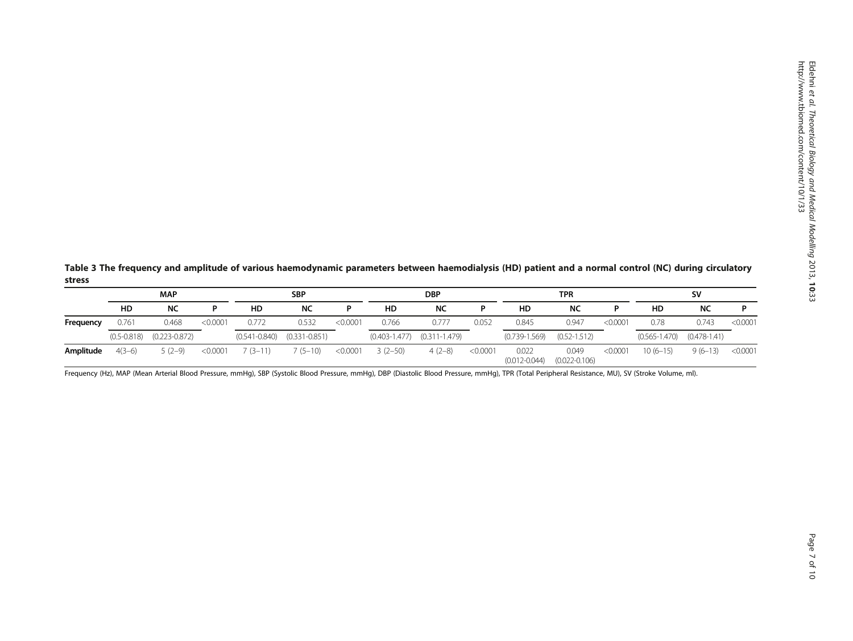<span id="page-6-0"></span>Table 3 The frequency and amplitude of various haemodynamic parameters between haemodialysis (HD) patient and a normal control (NC) during circulatory stress

|           | <b>MAP</b>      |                   |          | <b>SBP</b> |                                     |          | <b>DBP</b> |                                     |          | TPR                        |                            |          | <b>SV</b>         |                  |          |
|-----------|-----------------|-------------------|----------|------------|-------------------------------------|----------|------------|-------------------------------------|----------|----------------------------|----------------------------|----------|-------------------|------------------|----------|
|           | HD              | NC                | D        | HD         | NC                                  |          | HD         | NC                                  | D        | HD                         | NC                         | D        | HD                | <b>NC</b>        |          |
| Frequency | 0.761           | 0.468             | < 0.0001 | 0.772      | 0.532                               | < 0.0001 | 0.766      | 0.777                               | 0.052    | 0.845                      | 0.947                      | < 0.0001 | 0.78              | 0.743            | < 0.0001 |
|           | $(0.5 - 0.818)$ | $(0.223 - 0.872)$ |          |            | $(0.541 - 0.840)$ $(0.331 - 0.851)$ |          |            | $(0.403 - 1.477)$ $(0.311 - 1.479)$ |          | $(0.739 - 1.569)$          | $(0.52 - 1.512)$           |          | $(0.565 - 1.470)$ | $(0.478 - 1.41)$ |          |
| Amplitude | $4(3-6)$        | $5(2-9)$          | < 0.0001 | $(3-11)$   | $7(5-10)$                           | < 0.0001 | $3(2-50)$  | $4(2-8)$                            | < 0.0001 | 0.022<br>$(0.012 - 0.044)$ | 0.049<br>$(0.022 - 0.106)$ | < 0.0001 | $10(6-15)$        | $9(6-13)$        | < 0.0001 |

Frequency (Hz), MAP (Mean Arterial Blood Pressure, mmHg), SBP (Systolic Blood Pressure, mmHg), DBP (Diastolic Blood Pressure, mmHg), TPR (Total Peripheral Resistance, MU), SV (Stroke Volume, ml).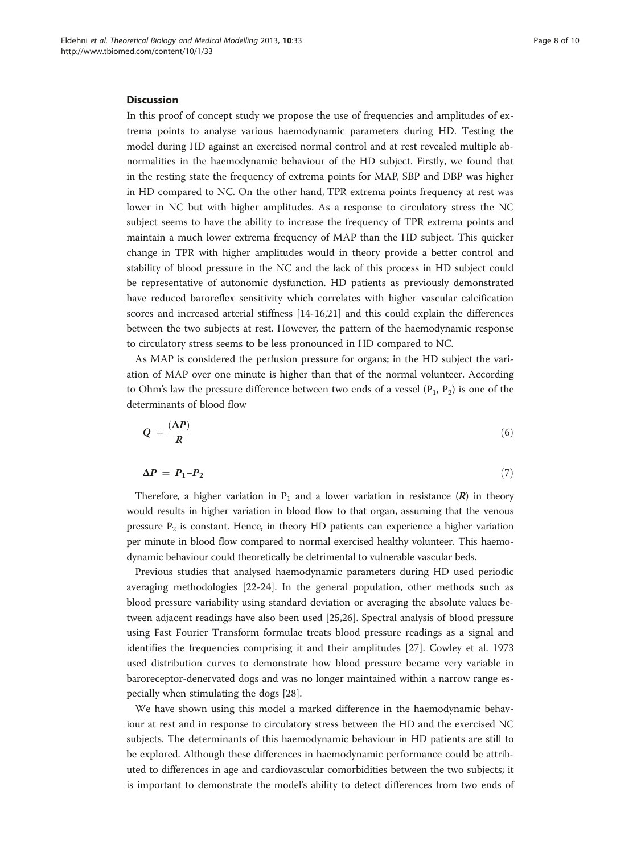#### Discussion

In this proof of concept study we propose the use of frequencies and amplitudes of extrema points to analyse various haemodynamic parameters during HD. Testing the model during HD against an exercised normal control and at rest revealed multiple abnormalities in the haemodynamic behaviour of the HD subject. Firstly, we found that in the resting state the frequency of extrema points for MAP, SBP and DBP was higher in HD compared to NC. On the other hand, TPR extrema points frequency at rest was lower in NC but with higher amplitudes. As a response to circulatory stress the NC subject seems to have the ability to increase the frequency of TPR extrema points and maintain a much lower extrema frequency of MAP than the HD subject. This quicker change in TPR with higher amplitudes would in theory provide a better control and stability of blood pressure in the NC and the lack of this process in HD subject could be representative of autonomic dysfunction. HD patients as previously demonstrated have reduced baroreflex sensitivity which correlates with higher vascular calcification scores and increased arterial stiffness [[14-16,21](#page-8-0)] and this could explain the differences between the two subjects at rest. However, the pattern of the haemodynamic response to circulatory stress seems to be less pronounced in HD compared to NC.

As MAP is considered the perfusion pressure for organs; in the HD subject the variation of MAP over one minute is higher than that of the normal volunteer. According to Ohm's law the pressure difference between two ends of a vessel  $(P_1, P_2)$  is one of the determinants of blood flow

$$
Q = \frac{(\Delta P)}{R} \tag{6}
$$

$$
\Delta P = P_1 - P_2 \tag{7}
$$

Therefore, a higher variation in  $P_1$  and a lower variation in resistance (R) in theory would results in higher variation in blood flow to that organ, assuming that the venous pressure  $P_2$  is constant. Hence, in theory HD patients can experience a higher variation per minute in blood flow compared to normal exercised healthy volunteer. This haemodynamic behaviour could theoretically be detrimental to vulnerable vascular beds.

Previous studies that analysed haemodynamic parameters during HD used periodic averaging methodologies [[22-](#page-8-0)[24](#page-9-0)]. In the general population, other methods such as blood pressure variability using standard deviation or averaging the absolute values between adjacent readings have also been used [[25,26\]](#page-9-0). Spectral analysis of blood pressure using Fast Fourier Transform formulae treats blood pressure readings as a signal and identifies the frequencies comprising it and their amplitudes [[27\]](#page-9-0). Cowley et al. 1973 used distribution curves to demonstrate how blood pressure became very variable in baroreceptor-denervated dogs and was no longer maintained within a narrow range especially when stimulating the dogs [[28](#page-9-0)].

We have shown using this model a marked difference in the haemodynamic behaviour at rest and in response to circulatory stress between the HD and the exercised NC subjects. The determinants of this haemodynamic behaviour in HD patients are still to be explored. Although these differences in haemodynamic performance could be attributed to differences in age and cardiovascular comorbidities between the two subjects; it is important to demonstrate the model's ability to detect differences from two ends of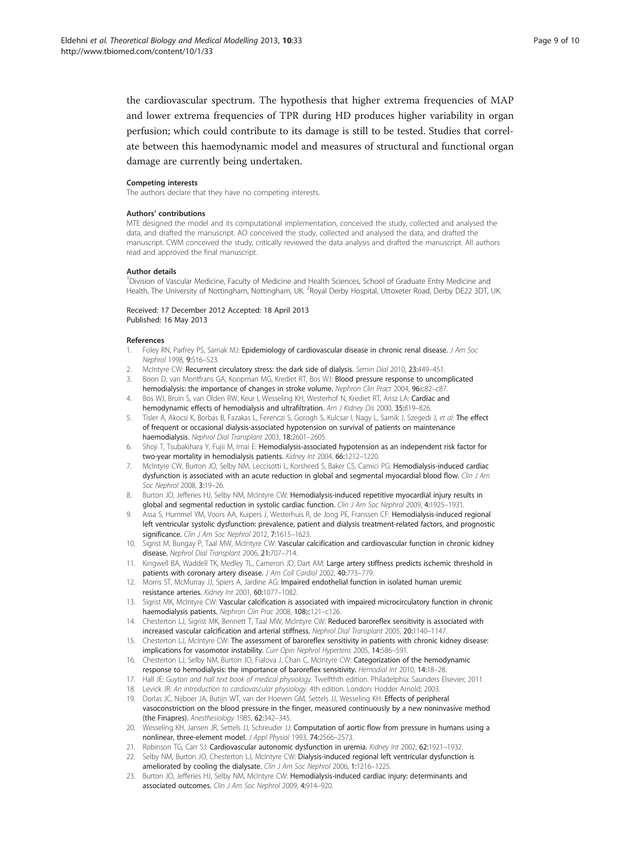<span id="page-8-0"></span>the cardiovascular spectrum. The hypothesis that higher extrema frequencies of MAP and lower extrema frequencies of TPR during HD produces higher variability in organ perfusion; which could contribute to its damage is still to be tested. Studies that correlate between this haemodynamic model and measures of structural and functional organ damage are currently being undertaken.

#### Competing interests

The authors declare that they have no competing interests.

#### Authors' contributions

MTE designed the model and its computational implementation, conceived the study, collected and analysed the data, and drafted the manuscript. AO conceived the study, collected and analysed the data, and drafted the manuscript. CWM conceived the study, critically reviewed the data analysis and drafted the manuscript. All authors read and approved the final manuscript.

#### Author details

<sup>1</sup>Division of Vascular Medicine, Faculty of Medicine and Health Sciences, School of Graduate Entry Medicine and Health, The University of Nottingham, Nottingham, UK. <sup>2</sup>Royal Derby Hospital, Uttoxeter Road, Derby DE22 3DT, UK

Received: 17 December 2012 Accepted: 18 April 2013 Published: 16 May 2013

#### References

- 1. Foley RN, Parfrey PS, Sarnak MJ: Epidemiology of cardiovascular disease in chronic renal disease. J Am Soc Nephrol 1998, 9:S16–S23.
- McIntyre CW: Recurrent circulatory stress: the dark side of dialysis. Semin Dial 2010, 23:449-451.
- 3. Boon D, van Montfrans GA, Koopman MG, Krediet RT, Bos WJ: Blood pressure response to uncomplicated hemodialysis: the importance of changes in stroke volume. Nephron Clin Pract 2004, 96:c82-c87.
- 4. Bos WJ, Bruin S, van Olden RW, Keur I, Wesseling KH, Westerhof N, Krediet RT, Arisz LA: Cardiac and hemodynamic effects of hemodialysis and ultrafiltration. Am J Kidney Dis 2000, 35:819-826.
- Tisler A, Akocsi K, Borbas B, Fazakas L, Ferenczi S, Gorogh S, Kulcsar I, Nagy L, Samik J, Szegedi J, et al: The effect of frequent or occasional dialysis-associated hypotension on survival of patients on maintenance haemodialysis. Nephrol Dial Transplant 2003, 18:2601–2605.
- 6. Shoji T, Tsubakihara Y, Fujii M, Imai E: Hemodialysis-associated hypotension as an independent risk factor for two-year mortality in hemodialysis patients. Kidney Int 2004, 66:1212–1220.
- 7. McIntyre CW, Burton JO, Selby NM, Leccisotti L, Korsheed S, Baker CS, Camici PG: Hemodialysis-induced cardiac dysfunction is associated with an acute reduction in global and segmental myocardial blood flow. Clin J Am Soc Nephrol 2008, 3:19–26.
- 8. Burton JO, Jefferies HJ, Selby NM, McIntyre CW: Hemodialysis-induced repetitive myocardial injury results in global and segmental reduction in systolic cardiac function. Clin J Am Soc Nephrol 2009, 4:1925-1931.
- Assa S, Hummel YM, Voors AA, Kuipers J, Westerhuis R, de Jong PE, Franssen CF: Hemodialysis-induced regional left ventricular systolic dysfunction: prevalence, patient and dialysis treatment-related factors, and prognostic significance. Clin J Am Soc Nephrol 2012, 7:1615-1623.
- 10. Sigrist M, Bungay P, Taal MW, McIntyre CW: Vascular calcification and cardiovascular function in chronic kidney disease. Nephrol Dial Transplant 2006, 21:707–714.
- 11. Kingwell BA, Waddell TK, Medley TL, Cameron JD, Dart AM: Large artery stiffness predicts ischemic threshold in patients with coronary artery disease. J Am Coll Cardiol 2002, 40:773-779.
- 12. Morris ST, McMurray JJ, Spiers A, Jardine AG: Impaired endothelial function in isolated human uremic resistance arteries. Kidney Int 2001, 60:1077–1082.
- 13. Sigrist MK, McIntyre CW: Vascular calcification is associated with impaired microcirculatory function in chronic haemodialysis patients. Nephron Clin Prac 2008, 108:c121-c126.
- 14. Chesterton LJ, Sigrist MK, Bennett T, Taal MW, McIntyre CW: Reduced baroreflex sensitivity is associated with increased vascular calcification and arterial stiffness. Nephrol Dial Transplant 2005, 20:1140–1147.
- 15. Chesterton LJ, McIntyre CW: The assessment of baroreflex sensitivity in patients with chronic kidney disease: implications for vasomotor instability. Curr Opin Nephrol Hypertens 2005, 14:586–591.
- 16. Chesterton LJ, Selby NM, Burton JO, Fialova J, Chan C, McIntyre CW: Categorization of the hemodynamic response to hemodialysis: the importance of baroreflex sensitivity. Hemodial Int 2010, 14:18–28.
- 17. Hall JE: Guyton and hall text book of medical physiology. Twelfthth edition. Philadelphia: Saunders Elsevier; 2011.
- 18. Levick JR: An introduction to cardiovascular physiology. 4th edition. London: Hodder Arnold; 2003.
- 19. Dorlas JC, Nijboer JA, Butijn WT, van der Hoeven GM, Settels JJ, Wesseling KH: Effects of peripheral vasoconstriction on the blood pressure in the finger, measured continuously by a new noninvasive method (the Finapres). Anesthesiology 1985, 62:342–345.
- 20. Wesseling KH, Jansen JR, Settels JJ, Schreuder JJ: Computation of aortic flow from pressure in humans using a nonlinear, three-element model. J Appl Physiol 1993, 74:2566–2573.
- 21. Robinson TG, Carr SJ: Cardiovascular autonomic dysfunction in uremia. Kidney Int 2002, 62:1921–1932.
- 22. Selby NM, Burton JO, Chesterton LJ, McIntyre CW: Dialysis-induced regional left ventricular dysfunction is ameliorated by cooling the dialysate. Clin J Am Soc Nephrol 2006, 1:1216-1225.
- 23. Burton JO, Jefferies HJ, Selby NM, McIntyre CW: Hemodialysis-induced cardiac injury: determinants and associated outcomes. Clin J Am Soc Nephrol 2009, 4:914–920.